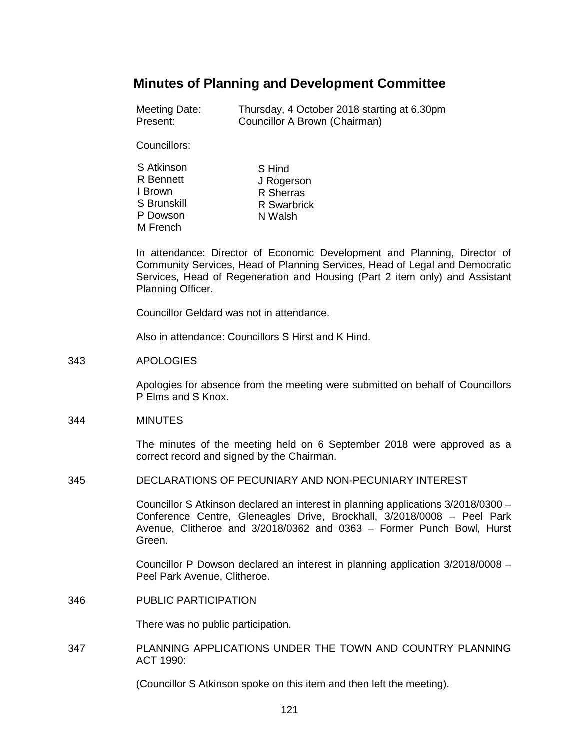# **Minutes of Planning and Development Committee**

| Meeting Date: | Thursday, 4 October 2018 starting at 6.30pm |
|---------------|---------------------------------------------|
| Present:      | Councillor A Brown (Chairman)               |

Councillors:

| S Atkinson       | S Hind      |
|------------------|-------------|
| <b>R</b> Bennett | J Rogerson  |
| I Brown          | R Sherras   |
| S Brunskill      | R Swarbrick |
| P Dowson         | N Walsh     |
| M French         |             |

In attendance: Director of Economic Development and Planning, Director of Community Services, Head of Planning Services, Head of Legal and Democratic Services, Head of Regeneration and Housing (Part 2 item only) and Assistant Planning Officer.

Councillor Geldard was not in attendance.

Also in attendance: Councillors S Hirst and K Hind.

#### 343 APOLOGIES

Apologies for absence from the meeting were submitted on behalf of Councillors P Elms and S Knox.

#### 344 MINUTES

The minutes of the meeting held on 6 September 2018 were approved as a correct record and signed by the Chairman.

345 DECLARATIONS OF PECUNIARY AND NON-PECUNIARY INTEREST

Councillor S Atkinson declared an interest in planning applications 3/2018/0300 – Conference Centre, Gleneagles Drive, Brockhall, 3/2018/0008 – Peel Park Avenue, Clitheroe and 3/2018/0362 and 0363 – Former Punch Bowl, Hurst Green.

Councillor P Dowson declared an interest in planning application 3/2018/0008 – Peel Park Avenue, Clitheroe.

346 PUBLIC PARTICIPATION

There was no public participation.

347 PLANNING APPLICATIONS UNDER THE TOWN AND COUNTRY PLANNING ACT 1990:

(Councillor S Atkinson spoke on this item and then left the meeting).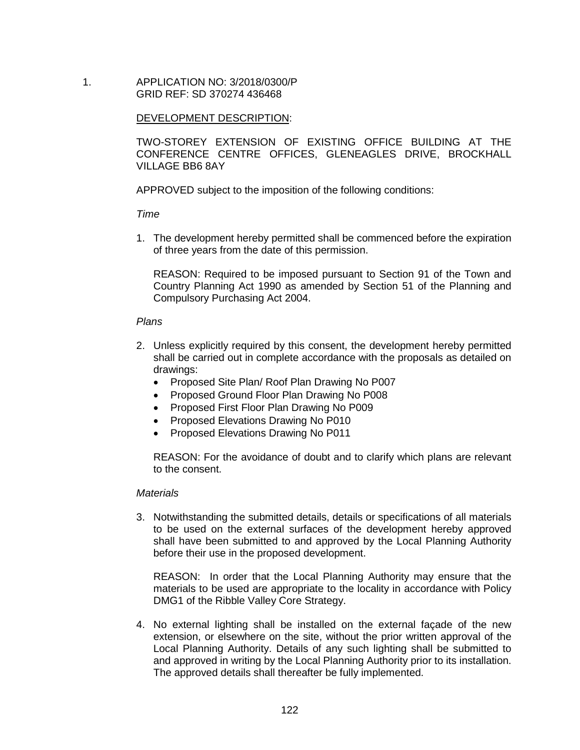1. APPLICATION NO: 3/2018/0300/P GRID REF: SD 370274 436468

## DEVELOPMENT DESCRIPTION:

TWO-STOREY EXTENSION OF EXISTING OFFICE BUILDING AT THE CONFERENCE CENTRE OFFICES, GLENEAGLES DRIVE, BROCKHALL VILLAGE BB6 8AY

APPROVED subject to the imposition of the following conditions:

## *Time*

1. The development hereby permitted shall be commenced before the expiration of three years from the date of this permission.

REASON: Required to be imposed pursuant to Section 91 of the Town and Country Planning Act 1990 as amended by Section 51 of the Planning and Compulsory Purchasing Act 2004.

## *Plans*

- 2. Unless explicitly required by this consent, the development hereby permitted shall be carried out in complete accordance with the proposals as detailed on drawings:
	- Proposed Site Plan/ Roof Plan Drawing No P007
	- Proposed Ground Floor Plan Drawing No P008
	- Proposed First Floor Plan Drawing No P009
	- Proposed Elevations Drawing No P010
	- Proposed Elevations Drawing No P011

REASON: For the avoidance of doubt and to clarify which plans are relevant to the consent.

#### *Materials*

3. Notwithstanding the submitted details, details or specifications of all materials to be used on the external surfaces of the development hereby approved shall have been submitted to and approved by the Local Planning Authority before their use in the proposed development.

REASON: In order that the Local Planning Authority may ensure that the materials to be used are appropriate to the locality in accordance with Policy DMG1 of the Ribble Valley Core Strategy.

4. No external lighting shall be installed on the external façade of the new extension, or elsewhere on the site, without the prior written approval of the Local Planning Authority. Details of any such lighting shall be submitted to and approved in writing by the Local Planning Authority prior to its installation. The approved details shall thereafter be fully implemented.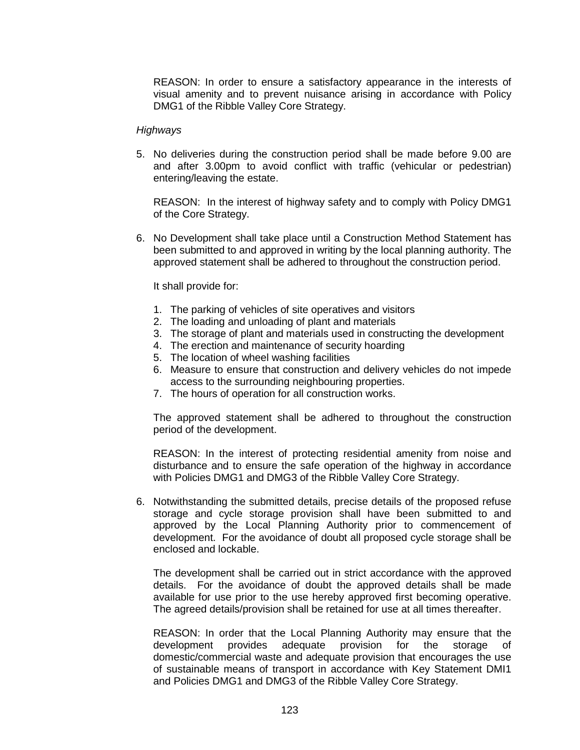REASON: In order to ensure a satisfactory appearance in the interests of visual amenity and to prevent nuisance arising in accordance with Policy DMG1 of the Ribble Valley Core Strategy.

#### *Highways*

5. No deliveries during the construction period shall be made before 9.00 are and after 3.00pm to avoid conflict with traffic (vehicular or pedestrian) entering/leaving the estate.

REASON: In the interest of highway safety and to comply with Policy DMG1 of the Core Strategy.

6. No Development shall take place until a Construction Method Statement has been submitted to and approved in writing by the local planning authority. The approved statement shall be adhered to throughout the construction period.

It shall provide for:

- 1. The parking of vehicles of site operatives and visitors
- 2. The loading and unloading of plant and materials
- 3. The storage of plant and materials used in constructing the development
- 4. The erection and maintenance of security hoarding
- 5. The location of wheel washing facilities
- 6. Measure to ensure that construction and delivery vehicles do not impede access to the surrounding neighbouring properties.
- 7. The hours of operation for all construction works.

The approved statement shall be adhered to throughout the construction period of the development.

REASON: In the interest of protecting residential amenity from noise and disturbance and to ensure the safe operation of the highway in accordance with Policies DMG1 and DMG3 of the Ribble Valley Core Strategy.

6. Notwithstanding the submitted details, precise details of the proposed refuse storage and cycle storage provision shall have been submitted to and approved by the Local Planning Authority prior to commencement of development. For the avoidance of doubt all proposed cycle storage shall be enclosed and lockable.

The development shall be carried out in strict accordance with the approved details. For the avoidance of doubt the approved details shall be made available for use prior to the use hereby approved first becoming operative. The agreed details/provision shall be retained for use at all times thereafter.

REASON: In order that the Local Planning Authority may ensure that the development provides adequate provision for the storage of domestic/commercial waste and adequate provision that encourages the use of sustainable means of transport in accordance with Key Statement DMI1 and Policies DMG1 and DMG3 of the Ribble Valley Core Strategy.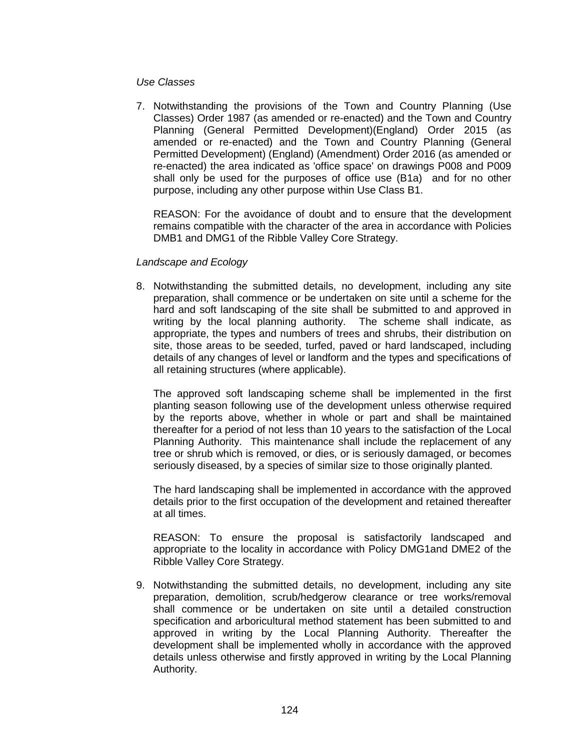#### *Use Classes*

7. Notwithstanding the provisions of the Town and Country Planning (Use Classes) Order 1987 (as amended or re-enacted) and the Town and Country Planning (General Permitted Development)(England) Order 2015 (as amended or re-enacted) and the Town and Country Planning (General Permitted Development) (England) (Amendment) Order 2016 (as amended or re-enacted) the area indicated as 'office space' on drawings P008 and P009 shall only be used for the purposes of office use (B1a) and for no other purpose, including any other purpose within Use Class B1.

REASON: For the avoidance of doubt and to ensure that the development remains compatible with the character of the area in accordance with Policies DMB1 and DMG1 of the Ribble Valley Core Strategy.

## *Landscape and Ecology*

8. Notwithstanding the submitted details, no development, including any site preparation, shall commence or be undertaken on site until a scheme for the hard and soft landscaping of the site shall be submitted to and approved in writing by the local planning authority. The scheme shall indicate, as appropriate, the types and numbers of trees and shrubs, their distribution on site, those areas to be seeded, turfed, paved or hard landscaped, including details of any changes of level or landform and the types and specifications of all retaining structures (where applicable).

The approved soft landscaping scheme shall be implemented in the first planting season following use of the development unless otherwise required by the reports above, whether in whole or part and shall be maintained thereafter for a period of not less than 10 years to the satisfaction of the Local Planning Authority. This maintenance shall include the replacement of any tree or shrub which is removed, or dies, or is seriously damaged, or becomes seriously diseased, by a species of similar size to those originally planted.

The hard landscaping shall be implemented in accordance with the approved details prior to the first occupation of the development and retained thereafter at all times.

REASON: To ensure the proposal is satisfactorily landscaped and appropriate to the locality in accordance with Policy DMG1and DME2 of the Ribble Valley Core Strategy.

9. Notwithstanding the submitted details, no development, including any site preparation, demolition, scrub/hedgerow clearance or tree works/removal shall commence or be undertaken on site until a detailed construction specification and arboricultural method statement has been submitted to and approved in writing by the Local Planning Authority. Thereafter the development shall be implemented wholly in accordance with the approved details unless otherwise and firstly approved in writing by the Local Planning Authority.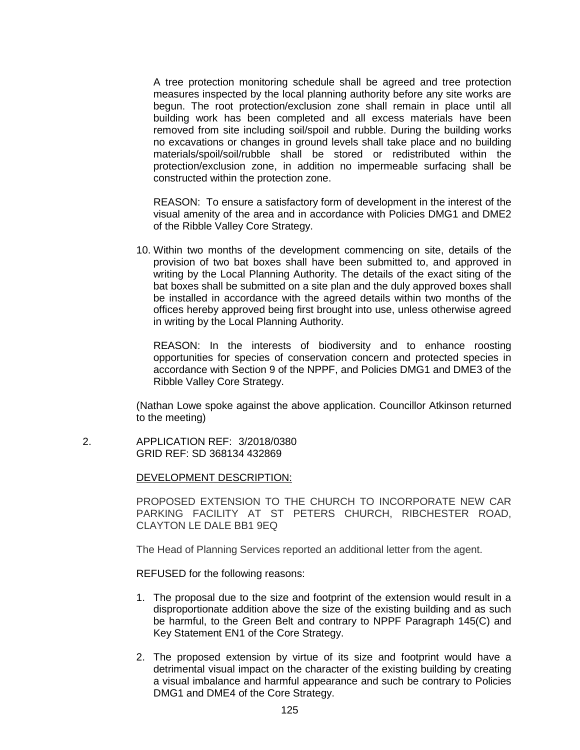A tree protection monitoring schedule shall be agreed and tree protection measures inspected by the local planning authority before any site works are begun. The root protection/exclusion zone shall remain in place until all building work has been completed and all excess materials have been removed from site including soil/spoil and rubble. During the building works no excavations or changes in ground levels shall take place and no building materials/spoil/soil/rubble shall be stored or redistributed within the protection/exclusion zone, in addition no impermeable surfacing shall be constructed within the protection zone.

REASON: To ensure a satisfactory form of development in the interest of the visual amenity of the area and in accordance with Policies DMG1 and DME2 of the Ribble Valley Core Strategy.

10. Within two months of the development commencing on site, details of the provision of two bat boxes shall have been submitted to, and approved in writing by the Local Planning Authority. The details of the exact siting of the bat boxes shall be submitted on a site plan and the duly approved boxes shall be installed in accordance with the agreed details within two months of the offices hereby approved being first brought into use, unless otherwise agreed in writing by the Local Planning Authority.

REASON: In the interests of biodiversity and to enhance roosting opportunities for species of conservation concern and protected species in accordance with Section 9 of the NPPF, and Policies DMG1 and DME3 of the Ribble Valley Core Strategy.

(Nathan Lowe spoke against the above application. Councillor Atkinson returned to the meeting)

 2. APPLICATION REF: 3/2018/0380 GRID REF: SD 368134 432869

DEVELOPMENT DESCRIPTION:

PROPOSED EXTENSION TO THE CHURCH TO INCORPORATE NEW CAR PARKING FACILITY AT ST PETERS CHURCH, RIBCHESTER ROAD, CLAYTON LE DALE BB1 9EQ

The Head of Planning Services reported an additional letter from the agent.

REFUSED for the following reasons:

- 1. The proposal due to the size and footprint of the extension would result in a disproportionate addition above the size of the existing building and as such be harmful, to the Green Belt and contrary to NPPF Paragraph 145(C) and Key Statement EN1 of the Core Strategy.
- 2. The proposed extension by virtue of its size and footprint would have a detrimental visual impact on the character of the existing building by creating a visual imbalance and harmful appearance and such be contrary to Policies DMG1 and DME4 of the Core Strategy.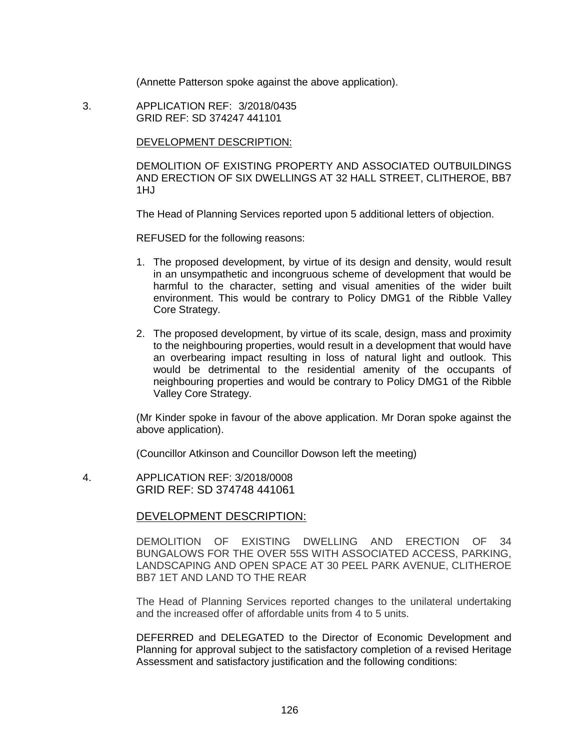(Annette Patterson spoke against the above application).

 3. APPLICATION REF: 3/2018/0435 GRID REF: SD 374247 441101

DEVELOPMENT DESCRIPTION:

DEMOLITION OF EXISTING PROPERTY AND ASSOCIATED OUTBUILDINGS AND ERECTION OF SIX DWELLINGS AT 32 HALL STREET, CLITHEROE, BB7 1HJ

The Head of Planning Services reported upon 5 additional letters of objection.

REFUSED for the following reasons:

- 1. The proposed development, by virtue of its design and density, would result in an unsympathetic and incongruous scheme of development that would be harmful to the character, setting and visual amenities of the wider built environment. This would be contrary to Policy DMG1 of the Ribble Valley Core Strategy.
- 2. The proposed development, by virtue of its scale, design, mass and proximity to the neighbouring properties, would result in a development that would have an overbearing impact resulting in loss of natural light and outlook. This would be detrimental to the residential amenity of the occupants of neighbouring properties and would be contrary to Policy DMG1 of the Ribble Valley Core Strategy.

(Mr Kinder spoke in favour of the above application. Mr Doran spoke against the above application).

(Councillor Atkinson and Councillor Dowson left the meeting)

 4. APPLICATION REF: 3/2018/0008 GRID REF: SD 374748 441061

## DEVELOPMENT DESCRIPTION:

DEMOLITION OF EXISTING DWELLING AND ERECTION OF 34 BUNGALOWS FOR THE OVER 55S WITH ASSOCIATED ACCESS, PARKING, LANDSCAPING AND OPEN SPACE AT 30 PEEL PARK AVENUE, CLITHEROE BB7 1ET AND LAND TO THE REAR

The Head of Planning Services reported changes to the unilateral undertaking and the increased offer of affordable units from 4 to 5 units.

DEFERRED and DELEGATED to the Director of Economic Development and Planning for approval subject to the satisfactory completion of a revised Heritage Assessment and satisfactory justification and the following conditions: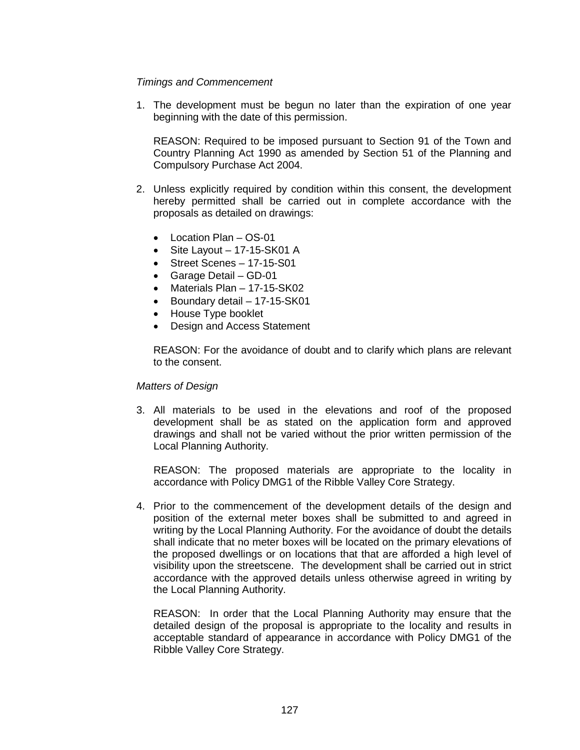# *Timings and Commencement*

1. The development must be begun no later than the expiration of one year beginning with the date of this permission.

REASON: Required to be imposed pursuant to Section 91 of the Town and Country Planning Act 1990 as amended by Section 51 of the Planning and Compulsory Purchase Act 2004.

- 2. Unless explicitly required by condition within this consent, the development hereby permitted shall be carried out in complete accordance with the proposals as detailed on drawings:
	- Location Plan OS-01
	- Site Layout 17-15-SK01 A
	- Street Scenes 17-15-S01
	- Garage Detail GD-01
	- Materials Plan 17-15-SK02
	- Boundary detail 17-15-SK01
	- House Type booklet
	- Design and Access Statement

REASON: For the avoidance of doubt and to clarify which plans are relevant to the consent.

## *Matters of Design*

3. All materials to be used in the elevations and roof of the proposed development shall be as stated on the application form and approved drawings and shall not be varied without the prior written permission of the Local Planning Authority.

REASON: The proposed materials are appropriate to the locality in accordance with Policy DMG1 of the Ribble Valley Core Strategy.

4. Prior to the commencement of the development details of the design and position of the external meter boxes shall be submitted to and agreed in writing by the Local Planning Authority. For the avoidance of doubt the details shall indicate that no meter boxes will be located on the primary elevations of the proposed dwellings or on locations that that are afforded a high level of visibility upon the streetscene. The development shall be carried out in strict accordance with the approved details unless otherwise agreed in writing by the Local Planning Authority.

REASON: In order that the Local Planning Authority may ensure that the detailed design of the proposal is appropriate to the locality and results in acceptable standard of appearance in accordance with Policy DMG1 of the Ribble Valley Core Strategy.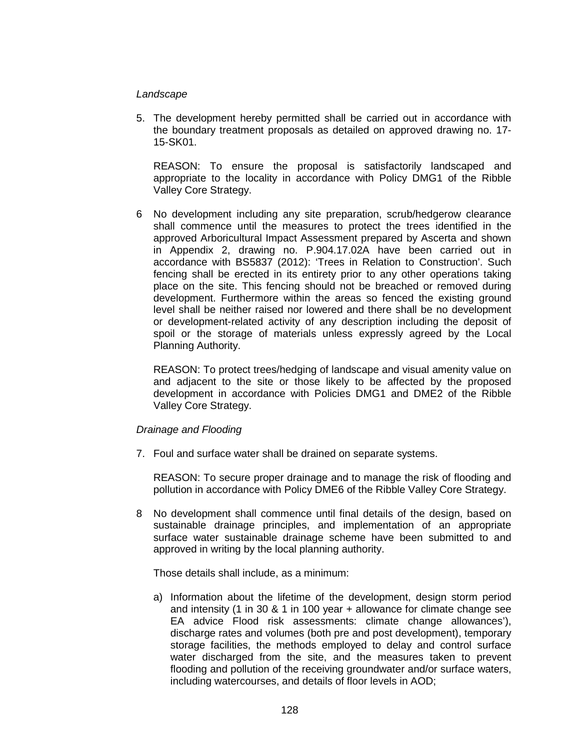## *Landscape*

5. The development hereby permitted shall be carried out in accordance with the boundary treatment proposals as detailed on approved drawing no. 17- 15-SK01.

REASON: To ensure the proposal is satisfactorily landscaped and appropriate to the locality in accordance with Policy DMG1 of the Ribble Valley Core Strategy.

6 No development including any site preparation, scrub/hedgerow clearance shall commence until the measures to protect the trees identified in the approved Arboricultural Impact Assessment prepared by Ascerta and shown in Appendix 2, drawing no. P.904.17.02A have been carried out in accordance with BS5837 (2012): 'Trees in Relation to Construction'. Such fencing shall be erected in its entirety prior to any other operations taking place on the site. This fencing should not be breached or removed during development. Furthermore within the areas so fenced the existing ground level shall be neither raised nor lowered and there shall be no development or development-related activity of any description including the deposit of spoil or the storage of materials unless expressly agreed by the Local Planning Authority.

REASON: To protect trees/hedging of landscape and visual amenity value on and adjacent to the site or those likely to be affected by the proposed development in accordance with Policies DMG1 and DME2 of the Ribble Valley Core Strategy.

## *Drainage and Flooding*

7. Foul and surface water shall be drained on separate systems.

REASON: To secure proper drainage and to manage the risk of flooding and pollution in accordance with Policy DME6 of the Ribble Valley Core Strategy.

8 No development shall commence until final details of the design, based on sustainable drainage principles, and implementation of an appropriate surface water sustainable drainage scheme have been submitted to and approved in writing by the local planning authority.

Those details shall include, as a minimum:

a) Information about the lifetime of the development, design storm period and intensity (1 in 30 & 1 in 100 year + allowance for climate change see EA advice Flood risk assessments: climate change allowances'), discharge rates and volumes (both pre and post development), temporary storage facilities, the methods employed to delay and control surface water discharged from the site, and the measures taken to prevent flooding and pollution of the receiving groundwater and/or surface waters, including watercourses, and details of floor levels in AOD;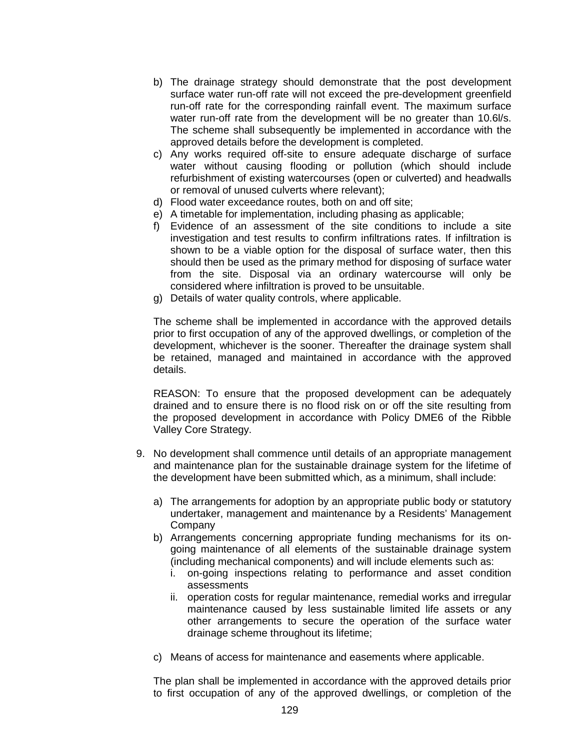- b) The drainage strategy should demonstrate that the post development surface water run-off rate will not exceed the pre-development greenfield run-off rate for the corresponding rainfall event. The maximum surface water run-off rate from the development will be no greater than 10.6l/s. The scheme shall subsequently be implemented in accordance with the approved details before the development is completed.
- c) Any works required off-site to ensure adequate discharge of surface water without causing flooding or pollution (which should include refurbishment of existing watercourses (open or culverted) and headwalls or removal of unused culverts where relevant);
- d) Flood water exceedance routes, both on and off site;
- e) A timetable for implementation, including phasing as applicable;
- f) Evidence of an assessment of the site conditions to include a site investigation and test results to confirm infiltrations rates. If infiltration is shown to be a viable option for the disposal of surface water, then this should then be used as the primary method for disposing of surface water from the site. Disposal via an ordinary watercourse will only be considered where infiltration is proved to be unsuitable.
- g) Details of water quality controls, where applicable.

The scheme shall be implemented in accordance with the approved details prior to first occupation of any of the approved dwellings, or completion of the development, whichever is the sooner. Thereafter the drainage system shall be retained, managed and maintained in accordance with the approved details.

REASON: To ensure that the proposed development can be adequately drained and to ensure there is no flood risk on or off the site resulting from the proposed development in accordance with Policy DME6 of the Ribble Valley Core Strategy.

- 9. No development shall commence until details of an appropriate management and maintenance plan for the sustainable drainage system for the lifetime of the development have been submitted which, as a minimum, shall include:
	- a) The arrangements for adoption by an appropriate public body or statutory undertaker, management and maintenance by a Residents' Management Company
	- b) Arrangements concerning appropriate funding mechanisms for its ongoing maintenance of all elements of the sustainable drainage system (including mechanical components) and will include elements such as:
		- i. on-going inspections relating to performance and asset condition assessments
		- ii. operation costs for regular maintenance, remedial works and irregular maintenance caused by less sustainable limited life assets or any other arrangements to secure the operation of the surface water drainage scheme throughout its lifetime;
	- c) Means of access for maintenance and easements where applicable.

The plan shall be implemented in accordance with the approved details prior to first occupation of any of the approved dwellings, or completion of the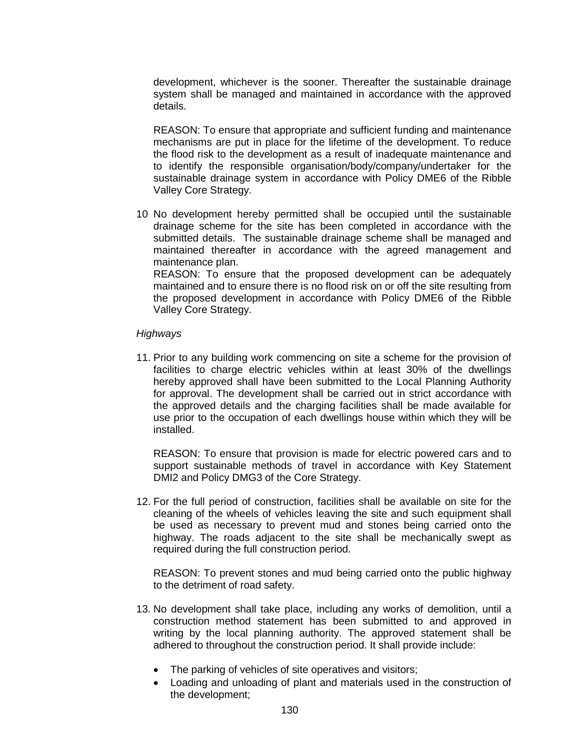development, whichever is the sooner. Thereafter the sustainable drainage system shall be managed and maintained in accordance with the approved details.

REASON: To ensure that appropriate and sufficient funding and maintenance mechanisms are put in place for the lifetime of the development. To reduce the flood risk to the development as a result of inadequate maintenance and to identify the responsible organisation/body/company/undertaker for the sustainable drainage system in accordance with Policy DME6 of the Ribble Valley Core Strategy.

10 No development hereby permitted shall be occupied until the sustainable drainage scheme for the site has been completed in accordance with the submitted details. The sustainable drainage scheme shall be managed and maintained thereafter in accordance with the agreed management and maintenance plan. REASON: To ensure that the proposed development can be adequately

maintained and to ensure there is no flood risk on or off the site resulting from the proposed development in accordance with Policy DME6 of the Ribble Valley Core Strategy.

# *Highways*

11. Prior to any building work commencing on site a scheme for the provision of facilities to charge electric vehicles within at least 30% of the dwellings hereby approved shall have been submitted to the Local Planning Authority for approval. The development shall be carried out in strict accordance with the approved details and the charging facilities shall be made available for use prior to the occupation of each dwellings house within which they will be installed.

REASON: To ensure that provision is made for electric powered cars and to support sustainable methods of travel in accordance with Key Statement DMI2 and Policy DMG3 of the Core Strategy.

12. For the full period of construction, facilities shall be available on site for the cleaning of the wheels of vehicles leaving the site and such equipment shall be used as necessary to prevent mud and stones being carried onto the highway. The roads adjacent to the site shall be mechanically swept as required during the full construction period.

REASON: To prevent stones and mud being carried onto the public highway to the detriment of road safety.

- 13. No development shall take place, including any works of demolition, until a construction method statement has been submitted to and approved in writing by the local planning authority. The approved statement shall be adhered to throughout the construction period. It shall provide include:
	- The parking of vehicles of site operatives and visitors;
	- Loading and unloading of plant and materials used in the construction of the development;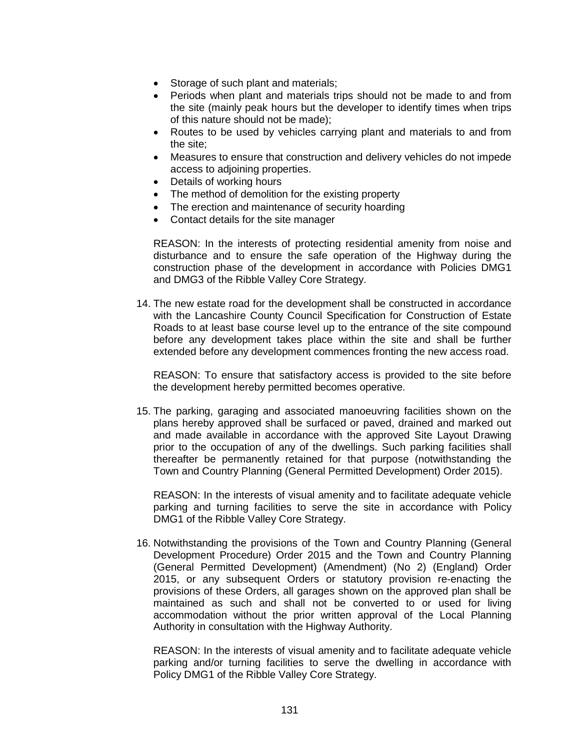- Storage of such plant and materials;
- Periods when plant and materials trips should not be made to and from the site (mainly peak hours but the developer to identify times when trips of this nature should not be made);
- Routes to be used by vehicles carrying plant and materials to and from the site;
- Measures to ensure that construction and delivery vehicles do not impede access to adjoining properties.
- Details of working hours
- The method of demolition for the existing property
- The erection and maintenance of security hoarding
- Contact details for the site manager

REASON: In the interests of protecting residential amenity from noise and disturbance and to ensure the safe operation of the Highway during the construction phase of the development in accordance with Policies DMG1 and DMG3 of the Ribble Valley Core Strategy.

14. The new estate road for the development shall be constructed in accordance with the Lancashire County Council Specification for Construction of Estate Roads to at least base course level up to the entrance of the site compound before any development takes place within the site and shall be further extended before any development commences fronting the new access road.

REASON: To ensure that satisfactory access is provided to the site before the development hereby permitted becomes operative.

15. The parking, garaging and associated manoeuvring facilities shown on the plans hereby approved shall be surfaced or paved, drained and marked out and made available in accordance with the approved Site Layout Drawing prior to the occupation of any of the dwellings. Such parking facilities shall thereafter be permanently retained for that purpose (notwithstanding the Town and Country Planning (General Permitted Development) Order 2015).

REASON: In the interests of visual amenity and to facilitate adequate vehicle parking and turning facilities to serve the site in accordance with Policy DMG1 of the Ribble Valley Core Strategy.

16. Notwithstanding the provisions of the Town and Country Planning (General Development Procedure) Order 2015 and the Town and Country Planning (General Permitted Development) (Amendment) (No 2) (England) Order 2015, or any subsequent Orders or statutory provision re-enacting the provisions of these Orders, all garages shown on the approved plan shall be maintained as such and shall not be converted to or used for living accommodation without the prior written approval of the Local Planning Authority in consultation with the Highway Authority.

REASON: In the interests of visual amenity and to facilitate adequate vehicle parking and/or turning facilities to serve the dwelling in accordance with Policy DMG1 of the Ribble Valley Core Strategy.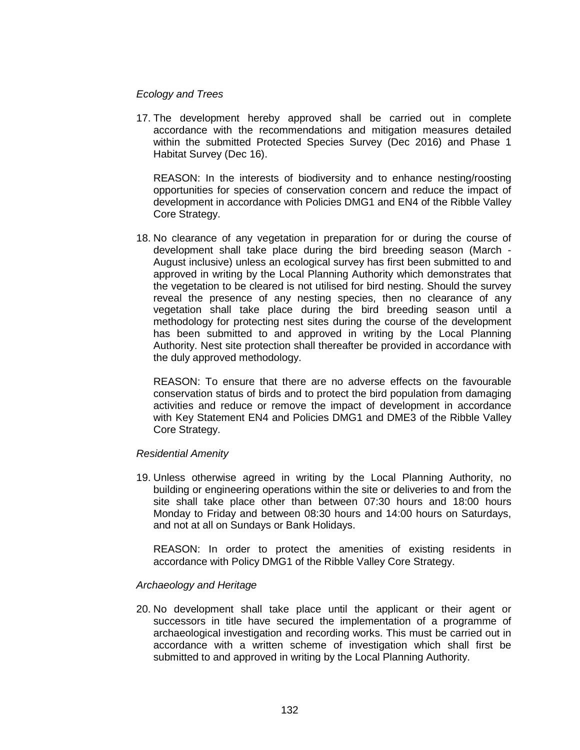#### *Ecology and Trees*

17. The development hereby approved shall be carried out in complete accordance with the recommendations and mitigation measures detailed within the submitted Protected Species Survey (Dec 2016) and Phase 1 Habitat Survey (Dec 16).

REASON: In the interests of biodiversity and to enhance nesting/roosting opportunities for species of conservation concern and reduce the impact of development in accordance with Policies DMG1 and EN4 of the Ribble Valley Core Strategy.

18. No clearance of any vegetation in preparation for or during the course of development shall take place during the bird breeding season (March - August inclusive) unless an ecological survey has first been submitted to and approved in writing by the Local Planning Authority which demonstrates that the vegetation to be cleared is not utilised for bird nesting. Should the survey reveal the presence of any nesting species, then no clearance of any vegetation shall take place during the bird breeding season until a methodology for protecting nest sites during the course of the development has been submitted to and approved in writing by the Local Planning Authority. Nest site protection shall thereafter be provided in accordance with the duly approved methodology.

REASON: To ensure that there are no adverse effects on the favourable conservation status of birds and to protect the bird population from damaging activities and reduce or remove the impact of development in accordance with Key Statement EN4 and Policies DMG1 and DME3 of the Ribble Valley Core Strategy.

## *Residential Amenity*

19. Unless otherwise agreed in writing by the Local Planning Authority, no building or engineering operations within the site or deliveries to and from the site shall take place other than between 07:30 hours and 18:00 hours Monday to Friday and between 08:30 hours and 14:00 hours on Saturdays, and not at all on Sundays or Bank Holidays.

REASON: In order to protect the amenities of existing residents in accordance with Policy DMG1 of the Ribble Valley Core Strategy.

## *Archaeology and Heritage*

20. No development shall take place until the applicant or their agent or successors in title have secured the implementation of a programme of archaeological investigation and recording works. This must be carried out in accordance with a written scheme of investigation which shall first be submitted to and approved in writing by the Local Planning Authority.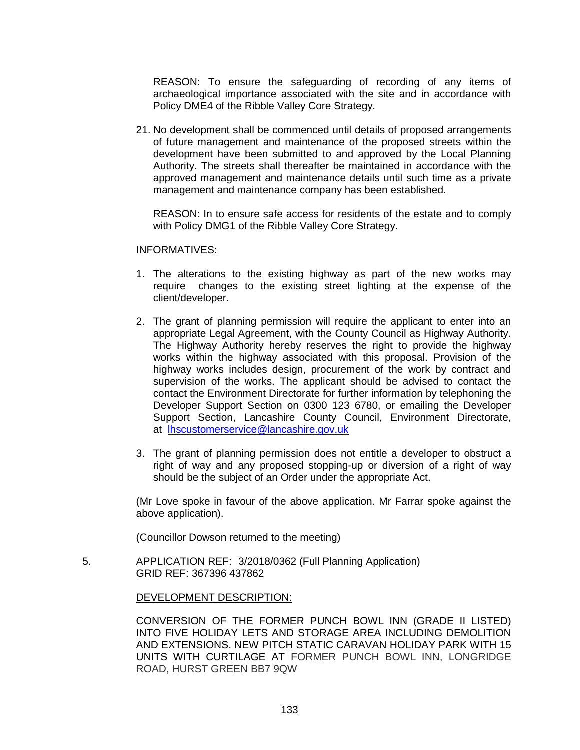REASON: To ensure the safeguarding of recording of any items of archaeological importance associated with the site and in accordance with Policy DME4 of the Ribble Valley Core Strategy.

21. No development shall be commenced until details of proposed arrangements of future management and maintenance of the proposed streets within the development have been submitted to and approved by the Local Planning Authority. The streets shall thereafter be maintained in accordance with the approved management and maintenance details until such time as a private management and maintenance company has been established.

REASON: In to ensure safe access for residents of the estate and to comply with Policy DMG1 of the Ribble Valley Core Strategy.

# INFORMATIVES:

- 1. The alterations to the existing highway as part of the new works may require changes to the existing street lighting at the expense of the client/developer.
- 2. The grant of planning permission will require the applicant to enter into an appropriate Legal Agreement, with the County Council as Highway Authority. The Highway Authority hereby reserves the right to provide the highway works within the highway associated with this proposal. Provision of the highway works includes design, procurement of the work by contract and supervision of the works. The applicant should be advised to contact the contact the Environment Directorate for further information by telephoning the Developer Support Section on 0300 123 6780, or emailing the Developer Support Section, Lancashire County Council, Environment Directorate, at [lhscustomerservice@lancashire.gov.uk](mailto:lhscustomerservice@lancashire.gov.uk)
- 3. The grant of planning permission does not entitle a developer to obstruct a right of way and any proposed stopping-up or diversion of a right of way should be the subject of an Order under the appropriate Act.

(Mr Love spoke in favour of the above application. Mr Farrar spoke against the above application).

(Councillor Dowson returned to the meeting)

 5. APPLICATION REF: 3/2018/0362 (Full Planning Application) GRID REF: 367396 437862

## DEVELOPMENT DESCRIPTION:

CONVERSION OF THE FORMER PUNCH BOWL INN (GRADE II LISTED) INTO FIVE HOLIDAY LETS AND STORAGE AREA INCLUDING DEMOLITION AND EXTENSIONS. NEW PITCH STATIC CARAVAN HOLIDAY PARK WITH 15 UNITS WITH CURTILAGE AT FORMER PUNCH BOWL INN, LONGRIDGE ROAD, HURST GREEN BB7 9QW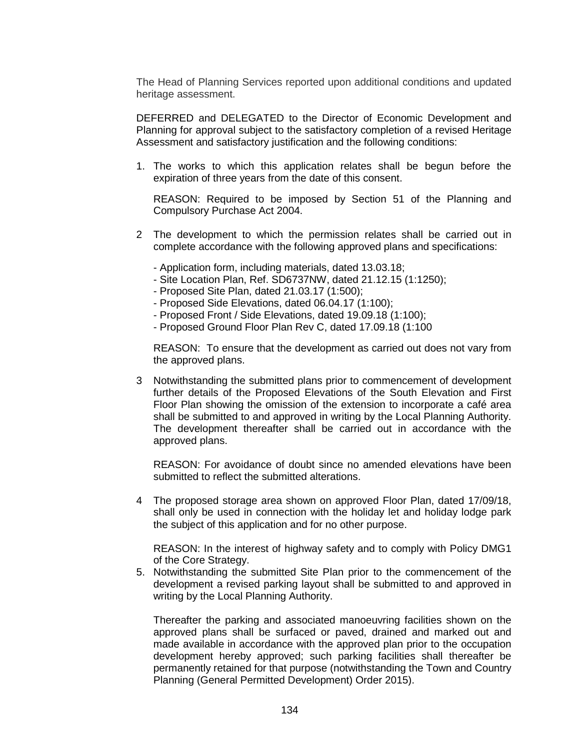The Head of Planning Services reported upon additional conditions and updated heritage assessment.

DEFERRED and DELEGATED to the Director of Economic Development and Planning for approval subject to the satisfactory completion of a revised Heritage Assessment and satisfactory justification and the following conditions:

1. The works to which this application relates shall be begun before the expiration of three years from the date of this consent.

REASON: Required to be imposed by Section 51 of the Planning and Compulsory Purchase Act 2004.

- 2 The development to which the permission relates shall be carried out in complete accordance with the following approved plans and specifications:
	- Application form, including materials, dated 13.03.18;
	- Site Location Plan, Ref. SD6737NW, dated 21.12.15 (1:1250);
	- Proposed Site Plan, dated 21.03.17 (1:500);
	- Proposed Side Elevations, dated 06.04.17 (1:100);
	- Proposed Front / Side Elevations, dated 19.09.18 (1:100);
	- Proposed Ground Floor Plan Rev C, dated 17.09.18 (1:100

REASON: To ensure that the development as carried out does not vary from the approved plans.

3 Notwithstanding the submitted plans prior to commencement of development further details of the Proposed Elevations of the South Elevation and First Floor Plan showing the omission of the extension to incorporate a café area shall be submitted to and approved in writing by the Local Planning Authority. The development thereafter shall be carried out in accordance with the approved plans.

REASON: For avoidance of doubt since no amended elevations have been submitted to reflect the submitted alterations.

4 The proposed storage area shown on approved Floor Plan, dated 17/09/18, shall only be used in connection with the holiday let and holiday lodge park the subject of this application and for no other purpose.

REASON: In the interest of highway safety and to comply with Policy DMG1 of the Core Strategy.

5. Notwithstanding the submitted Site Plan prior to the commencement of the development a revised parking layout shall be submitted to and approved in writing by the Local Planning Authority.

Thereafter the parking and associated manoeuvring facilities shown on the approved plans shall be surfaced or paved, drained and marked out and made available in accordance with the approved plan prior to the occupation development hereby approved; such parking facilities shall thereafter be permanently retained for that purpose (notwithstanding the Town and Country Planning (General Permitted Development) Order 2015).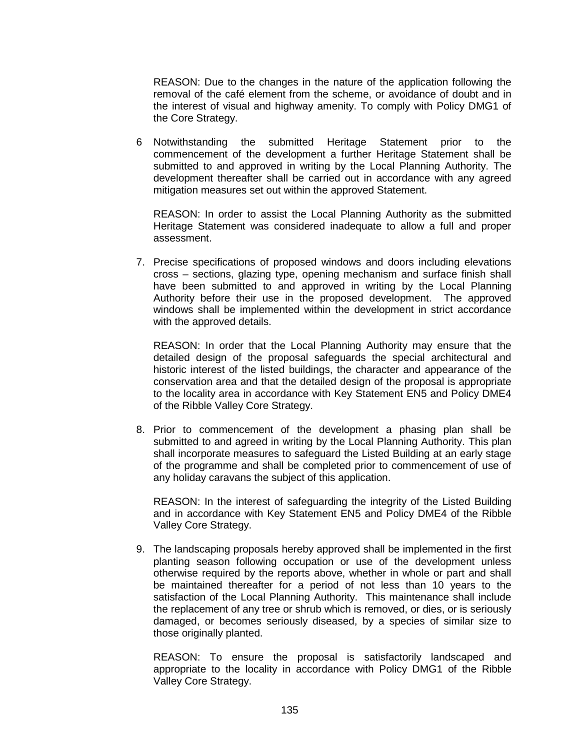REASON: Due to the changes in the nature of the application following the removal of the café element from the scheme, or avoidance of doubt and in the interest of visual and highway amenity. To comply with Policy DMG1 of the Core Strategy.

6 Notwithstanding the submitted Heritage Statement prior to the commencement of the development a further Heritage Statement shall be submitted to and approved in writing by the Local Planning Authority. The development thereafter shall be carried out in accordance with any agreed mitigation measures set out within the approved Statement.

REASON: In order to assist the Local Planning Authority as the submitted Heritage Statement was considered inadequate to allow a full and proper assessment.

7. Precise specifications of proposed windows and doors including elevations cross – sections, glazing type, opening mechanism and surface finish shall have been submitted to and approved in writing by the Local Planning Authority before their use in the proposed development. The approved windows shall be implemented within the development in strict accordance with the approved details.

REASON: In order that the Local Planning Authority may ensure that the detailed design of the proposal safeguards the special architectural and historic interest of the listed buildings, the character and appearance of the conservation area and that the detailed design of the proposal is appropriate to the locality area in accordance with Key Statement EN5 and Policy DME4 of the Ribble Valley Core Strategy.

8. Prior to commencement of the development a phasing plan shall be submitted to and agreed in writing by the Local Planning Authority. This plan shall incorporate measures to safeguard the Listed Building at an early stage of the programme and shall be completed prior to commencement of use of any holiday caravans the subject of this application.

REASON: In the interest of safeguarding the integrity of the Listed Building and in accordance with Key Statement EN5 and Policy DME4 of the Ribble Valley Core Strategy.

9. The landscaping proposals hereby approved shall be implemented in the first planting season following occupation or use of the development unless otherwise required by the reports above, whether in whole or part and shall be maintained thereafter for a period of not less than 10 years to the satisfaction of the Local Planning Authority. This maintenance shall include the replacement of any tree or shrub which is removed, or dies, or is seriously damaged, or becomes seriously diseased, by a species of similar size to those originally planted.

REASON: To ensure the proposal is satisfactorily landscaped and appropriate to the locality in accordance with Policy DMG1 of the Ribble Valley Core Strategy.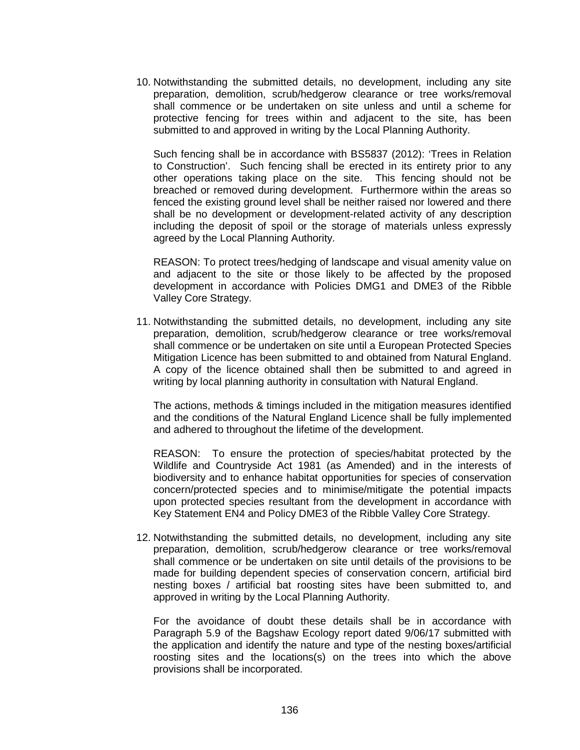10. Notwithstanding the submitted details, no development, including any site preparation, demolition, scrub/hedgerow clearance or tree works/removal shall commence or be undertaken on site unless and until a scheme for protective fencing for trees within and adjacent to the site, has been submitted to and approved in writing by the Local Planning Authority.

Such fencing shall be in accordance with BS5837 (2012): 'Trees in Relation to Construction'. Such fencing shall be erected in its entirety prior to any other operations taking place on the site. This fencing should not be breached or removed during development. Furthermore within the areas so fenced the existing ground level shall be neither raised nor lowered and there shall be no development or development-related activity of any description including the deposit of spoil or the storage of materials unless expressly agreed by the Local Planning Authority.

REASON: To protect trees/hedging of landscape and visual amenity value on and adjacent to the site or those likely to be affected by the proposed development in accordance with Policies DMG1 and DME3 of the Ribble Valley Core Strategy.

11. Notwithstanding the submitted details, no development, including any site preparation, demolition, scrub/hedgerow clearance or tree works/removal shall commence or be undertaken on site until a European Protected Species Mitigation Licence has been submitted to and obtained from Natural England. A copy of the licence obtained shall then be submitted to and agreed in writing by local planning authority in consultation with Natural England.

The actions, methods & timings included in the mitigation measures identified and the conditions of the Natural England Licence shall be fully implemented and adhered to throughout the lifetime of the development.

REASON: To ensure the protection of species/habitat protected by the Wildlife and Countryside Act 1981 (as Amended) and in the interests of biodiversity and to enhance habitat opportunities for species of conservation concern/protected species and to minimise/mitigate the potential impacts upon protected species resultant from the development in accordance with Key Statement EN4 and Policy DME3 of the Ribble Valley Core Strategy.

12. Notwithstanding the submitted details, no development, including any site preparation, demolition, scrub/hedgerow clearance or tree works/removal shall commence or be undertaken on site until details of the provisions to be made for building dependent species of conservation concern, artificial bird nesting boxes / artificial bat roosting sites have been submitted to, and approved in writing by the Local Planning Authority.

For the avoidance of doubt these details shall be in accordance with Paragraph 5.9 of the Bagshaw Ecology report dated 9/06/17 submitted with the application and identify the nature and type of the nesting boxes/artificial roosting sites and the locations(s) on the trees into which the above provisions shall be incorporated.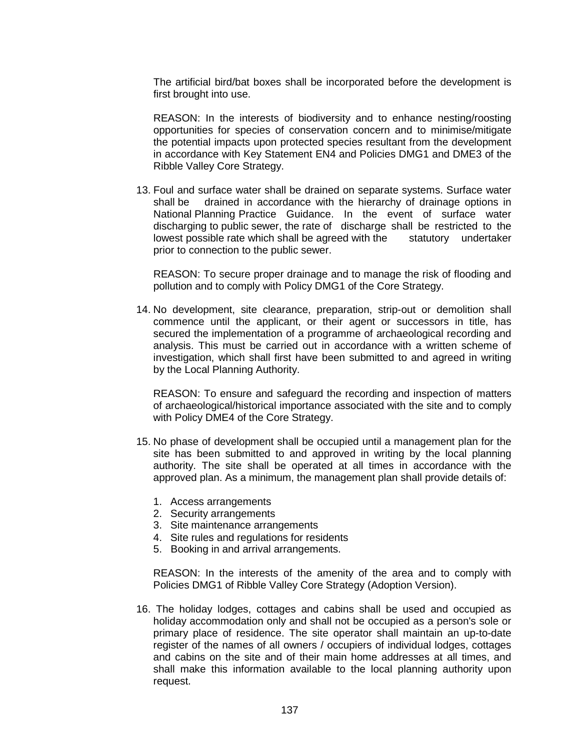The artificial bird/bat boxes shall be incorporated before the development is first brought into use.

REASON: In the interests of biodiversity and to enhance nesting/roosting opportunities for species of conservation concern and to minimise/mitigate the potential impacts upon protected species resultant from the development in accordance with Key Statement EN4 and Policies DMG1 and DME3 of the Ribble Valley Core Strategy.

13. Foul and surface water shall be drained on separate systems. Surface water shall be drained in accordance with the hierarchy of drainage options in National Planning Practice Guidance. In the event of surface water discharging to public sewer, the rate of discharge shall be restricted to the lowest possible rate which shall be agreed with the statutory undertaker prior to connection to the public sewer.

REASON: To secure proper drainage and to manage the risk of flooding and pollution and to comply with Policy DMG1 of the Core Strategy.

14. No development, site clearance, preparation, strip-out or demolition shall commence until the applicant, or their agent or successors in title, has secured the implementation of a programme of archaeological recording and analysis. This must be carried out in accordance with a written scheme of investigation, which shall first have been submitted to and agreed in writing by the Local Planning Authority.

REASON: To ensure and safeguard the recording and inspection of matters of archaeological/historical importance associated with the site and to comply with Policy DME4 of the Core Strategy.

- 15. No phase of development shall be occupied until a management plan for the site has been submitted to and approved in writing by the local planning authority. The site shall be operated at all times in accordance with the approved plan. As a minimum, the management plan shall provide details of:
	- 1. Access arrangements
	- 2. Security arrangements
	- 3. Site maintenance arrangements
	- 4. Site rules and regulations for residents
	- 5. Booking in and arrival arrangements.

REASON: In the interests of the amenity of the area and to comply with Policies DMG1 of Ribble Valley Core Strategy (Adoption Version).

16. The holiday lodges, cottages and cabins shall be used and occupied as holiday accommodation only and shall not be occupied as a person's sole or primary place of residence. The site operator shall maintain an up-to-date register of the names of all owners / occupiers of individual lodges, cottages and cabins on the site and of their main home addresses at all times, and shall make this information available to the local planning authority upon request.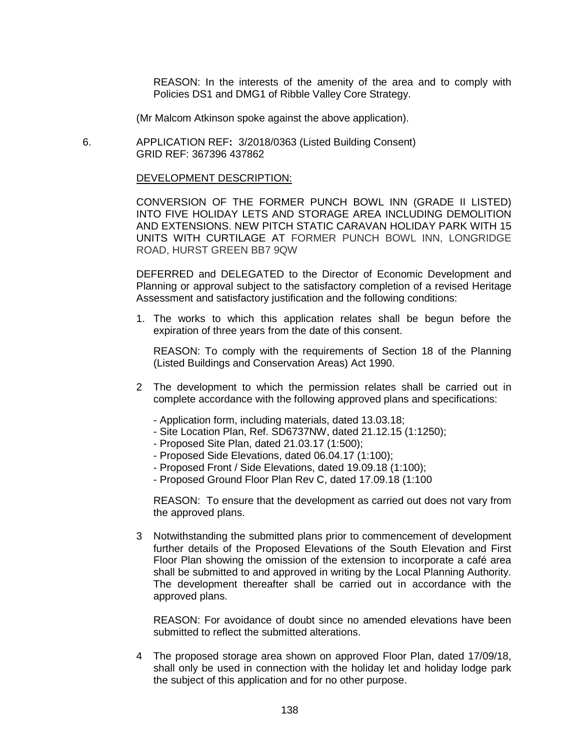REASON: In the interests of the amenity of the area and to comply with Policies DS1 and DMG1 of Ribble Valley Core Strategy.

(Mr Malcom Atkinson spoke against the above application).

 6. APPLICATION REF**:** 3/2018/0363 (Listed Building Consent) GRID REF: 367396 437862

#### DEVELOPMENT DESCRIPTION:

CONVERSION OF THE FORMER PUNCH BOWL INN (GRADE II LISTED) INTO FIVE HOLIDAY LETS AND STORAGE AREA INCLUDING DEMOLITION AND EXTENSIONS. NEW PITCH STATIC CARAVAN HOLIDAY PARK WITH 15 UNITS WITH CURTILAGE AT FORMER PUNCH BOWL INN, LONGRIDGE ROAD, HURST GREEN BB7 9QW

DEFERRED and DELEGATED to the Director of Economic Development and Planning or approval subject to the satisfactory completion of a revised Heritage Assessment and satisfactory justification and the following conditions:

1. The works to which this application relates shall be begun before the expiration of three years from the date of this consent.

REASON: To comply with the requirements of Section 18 of the Planning (Listed Buildings and Conservation Areas) Act 1990.

- 2 The development to which the permission relates shall be carried out in complete accordance with the following approved plans and specifications:
	- Application form, including materials, dated 13.03.18;
	- Site Location Plan, Ref. SD6737NW, dated 21.12.15 (1:1250);
	- Proposed Site Plan, dated 21.03.17 (1:500);
	- Proposed Side Elevations, dated 06.04.17 (1:100);
	- Proposed Front / Side Elevations, dated 19.09.18 (1:100);
	- Proposed Ground Floor Plan Rev C, dated 17.09.18 (1:100

REASON: To ensure that the development as carried out does not vary from the approved plans.

3 Notwithstanding the submitted plans prior to commencement of development further details of the Proposed Elevations of the South Elevation and First Floor Plan showing the omission of the extension to incorporate a café area shall be submitted to and approved in writing by the Local Planning Authority. The development thereafter shall be carried out in accordance with the approved plans.

REASON: For avoidance of doubt since no amended elevations have been submitted to reflect the submitted alterations.

4 The proposed storage area shown on approved Floor Plan, dated 17/09/18, shall only be used in connection with the holiday let and holiday lodge park the subject of this application and for no other purpose.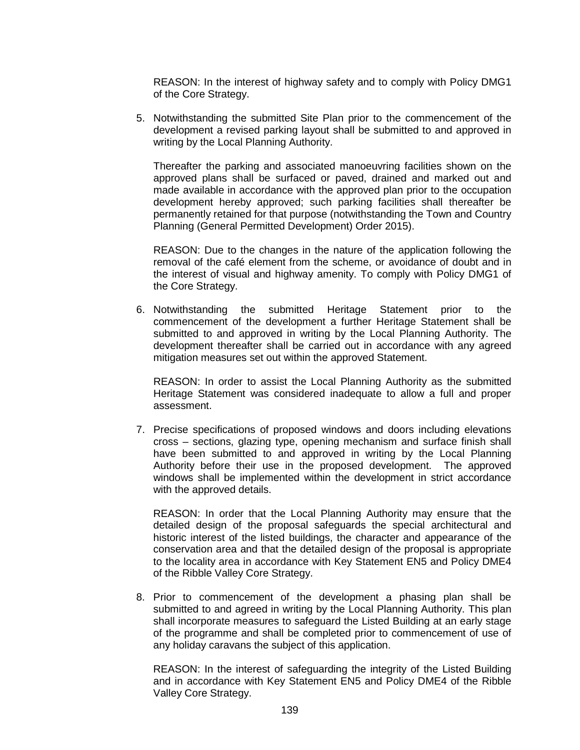REASON: In the interest of highway safety and to comply with Policy DMG1 of the Core Strategy.

5. Notwithstanding the submitted Site Plan prior to the commencement of the development a revised parking layout shall be submitted to and approved in writing by the Local Planning Authority.

Thereafter the parking and associated manoeuvring facilities shown on the approved plans shall be surfaced or paved, drained and marked out and made available in accordance with the approved plan prior to the occupation development hereby approved; such parking facilities shall thereafter be permanently retained for that purpose (notwithstanding the Town and Country Planning (General Permitted Development) Order 2015).

REASON: Due to the changes in the nature of the application following the removal of the café element from the scheme, or avoidance of doubt and in the interest of visual and highway amenity. To comply with Policy DMG1 of the Core Strategy.

6. Notwithstanding the submitted Heritage Statement prior to the commencement of the development a further Heritage Statement shall be submitted to and approved in writing by the Local Planning Authority. The development thereafter shall be carried out in accordance with any agreed mitigation measures set out within the approved Statement.

REASON: In order to assist the Local Planning Authority as the submitted Heritage Statement was considered inadequate to allow a full and proper assessment.

7. Precise specifications of proposed windows and doors including elevations cross – sections, glazing type, opening mechanism and surface finish shall have been submitted to and approved in writing by the Local Planning Authority before their use in the proposed development. The approved windows shall be implemented within the development in strict accordance with the approved details.

REASON: In order that the Local Planning Authority may ensure that the detailed design of the proposal safeguards the special architectural and historic interest of the listed buildings, the character and appearance of the conservation area and that the detailed design of the proposal is appropriate to the locality area in accordance with Key Statement EN5 and Policy DME4 of the Ribble Valley Core Strategy.

8. Prior to commencement of the development a phasing plan shall be submitted to and agreed in writing by the Local Planning Authority. This plan shall incorporate measures to safeguard the Listed Building at an early stage of the programme and shall be completed prior to commencement of use of any holiday caravans the subject of this application.

REASON: In the interest of safeguarding the integrity of the Listed Building and in accordance with Key Statement EN5 and Policy DME4 of the Ribble Valley Core Strategy.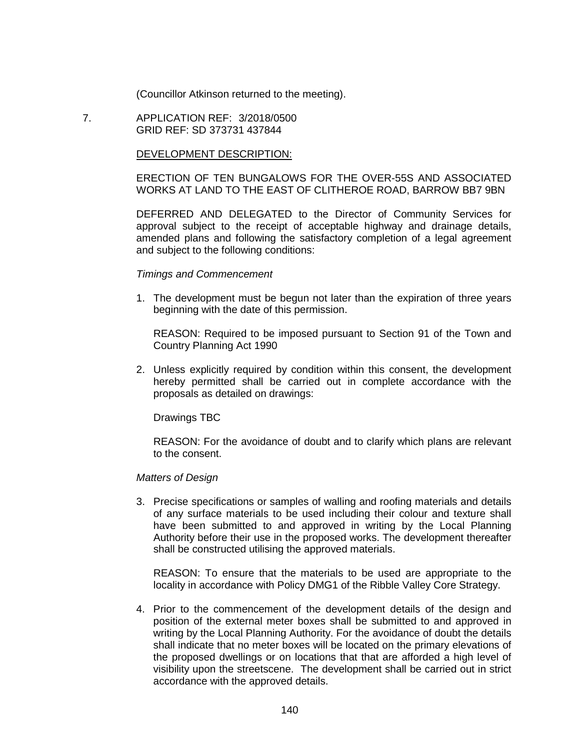(Councillor Atkinson returned to the meeting).

 7. APPLICATION REF: 3/2018/0500 GRID REF: SD 373731 437844

#### DEVELOPMENT DESCRIPTION:

ERECTION OF TEN BUNGALOWS FOR THE OVER-55S AND ASSOCIATED WORKS AT LAND TO THE EAST OF CLITHEROE ROAD, BARROW BB7 9BN

DEFERRED AND DELEGATED to the Director of Community Services for approval subject to the receipt of acceptable highway and drainage details, amended plans and following the satisfactory completion of a legal agreement and subject to the following conditions:

#### *Timings and Commencement*

1. The development must be begun not later than the expiration of three years beginning with the date of this permission.

REASON: Required to be imposed pursuant to Section 91 of the Town and Country Planning Act 1990

2. Unless explicitly required by condition within this consent, the development hereby permitted shall be carried out in complete accordance with the proposals as detailed on drawings:

Drawings TBC

REASON: For the avoidance of doubt and to clarify which plans are relevant to the consent.

#### *Matters of Design*

3. Precise specifications or samples of walling and roofing materials and details of any surface materials to be used including their colour and texture shall have been submitted to and approved in writing by the Local Planning Authority before their use in the proposed works. The development thereafter shall be constructed utilising the approved materials.

REASON: To ensure that the materials to be used are appropriate to the locality in accordance with Policy DMG1 of the Ribble Valley Core Strategy.

4. Prior to the commencement of the development details of the design and position of the external meter boxes shall be submitted to and approved in writing by the Local Planning Authority. For the avoidance of doubt the details shall indicate that no meter boxes will be located on the primary elevations of the proposed dwellings or on locations that that are afforded a high level of visibility upon the streetscene. The development shall be carried out in strict accordance with the approved details.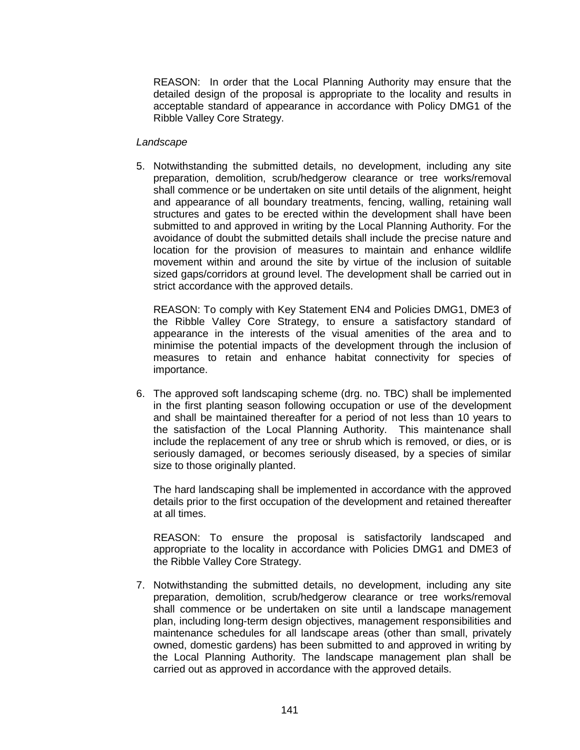REASON: In order that the Local Planning Authority may ensure that the detailed design of the proposal is appropriate to the locality and results in acceptable standard of appearance in accordance with Policy DMG1 of the Ribble Valley Core Strategy.

#### *Landscape*

5. Notwithstanding the submitted details, no development, including any site preparation, demolition, scrub/hedgerow clearance or tree works/removal shall commence or be undertaken on site until details of the alignment, height and appearance of all boundary treatments, fencing, walling, retaining wall structures and gates to be erected within the development shall have been submitted to and approved in writing by the Local Planning Authority. For the avoidance of doubt the submitted details shall include the precise nature and location for the provision of measures to maintain and enhance wildlife movement within and around the site by virtue of the inclusion of suitable sized gaps/corridors at ground level. The development shall be carried out in strict accordance with the approved details.

REASON: To comply with Key Statement EN4 and Policies DMG1, DME3 of the Ribble Valley Core Strategy, to ensure a satisfactory standard of appearance in the interests of the visual amenities of the area and to minimise the potential impacts of the development through the inclusion of measures to retain and enhance habitat connectivity for species of importance.

6. The approved soft landscaping scheme (drg. no. TBC) shall be implemented in the first planting season following occupation or use of the development and shall be maintained thereafter for a period of not less than 10 years to the satisfaction of the Local Planning Authority. This maintenance shall include the replacement of any tree or shrub which is removed, or dies, or is seriously damaged, or becomes seriously diseased, by a species of similar size to those originally planted.

The hard landscaping shall be implemented in accordance with the approved details prior to the first occupation of the development and retained thereafter at all times.

REASON: To ensure the proposal is satisfactorily landscaped and appropriate to the locality in accordance with Policies DMG1 and DME3 of the Ribble Valley Core Strategy.

7. Notwithstanding the submitted details, no development, including any site preparation, demolition, scrub/hedgerow clearance or tree works/removal shall commence or be undertaken on site until a landscape management plan, including long-term design objectives, management responsibilities and maintenance schedules for all landscape areas (other than small, privately owned, domestic gardens) has been submitted to and approved in writing by the Local Planning Authority. The landscape management plan shall be carried out as approved in accordance with the approved details.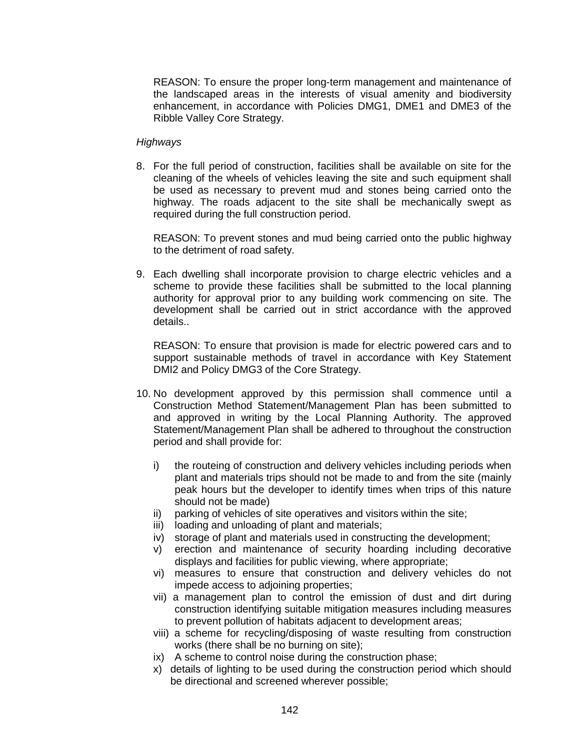REASON: To ensure the proper long-term management and maintenance of the landscaped areas in the interests of visual amenity and biodiversity enhancement, in accordance with Policies DMG1, DME1 and DME3 of the Ribble Valley Core Strategy.

#### *Highways*

8. For the full period of construction, facilities shall be available on site for the cleaning of the wheels of vehicles leaving the site and such equipment shall be used as necessary to prevent mud and stones being carried onto the highway. The roads adjacent to the site shall be mechanically swept as required during the full construction period.

REASON: To prevent stones and mud being carried onto the public highway to the detriment of road safety.

9. Each dwelling shall incorporate provision to charge electric vehicles and a scheme to provide these facilities shall be submitted to the local planning authority for approval prior to any building work commencing on site. The development shall be carried out in strict accordance with the approved details..

REASON: To ensure that provision is made for electric powered cars and to support sustainable methods of travel in accordance with Key Statement DMI2 and Policy DMG3 of the Core Strategy.

- 10. No development approved by this permission shall commence until a Construction Method Statement/Management Plan has been submitted to and approved in writing by the Local Planning Authority. The approved Statement/Management Plan shall be adhered to throughout the construction period and shall provide for:
	- i) the routeing of construction and delivery vehicles including periods when plant and materials trips should not be made to and from the site (mainly peak hours but the developer to identify times when trips of this nature should not be made)
	- ii) parking of vehicles of site operatives and visitors within the site;
	- iii) loading and unloading of plant and materials;
	- iv) storage of plant and materials used in constructing the development;
	- v) erection and maintenance of security hoarding including decorative displays and facilities for public viewing, where appropriate;
	- vi) measures to ensure that construction and delivery vehicles do not impede access to adjoining properties;
	- vii) a management plan to control the emission of dust and dirt during construction identifying suitable mitigation measures including measures to prevent pollution of habitats adjacent to development areas;
	- viii) a scheme for recycling/disposing of waste resulting from construction works (there shall be no burning on site);
	- ix) A scheme to control noise during the construction phase;
	- x) details of lighting to be used during the construction period which should be directional and screened wherever possible;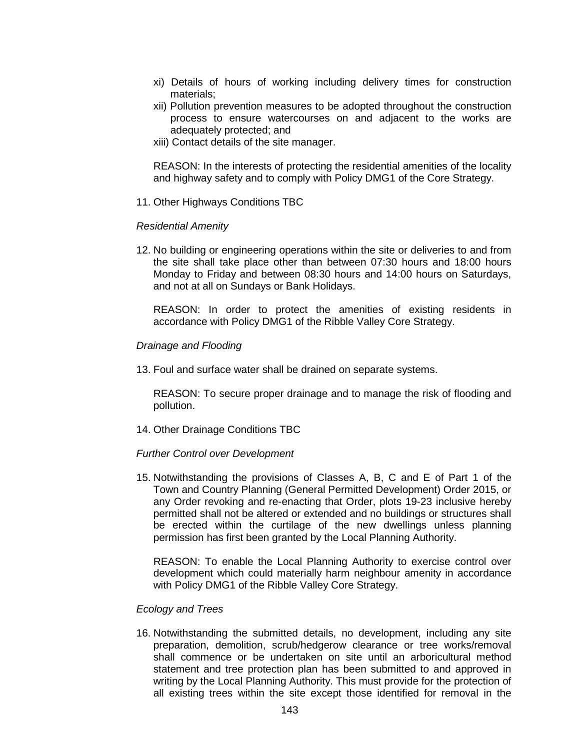- xi) Details of hours of working including delivery times for construction materials;
- xii) Pollution prevention measures to be adopted throughout the construction process to ensure watercourses on and adjacent to the works are adequately protected; and
- xiii) Contact details of the site manager.

REASON: In the interests of protecting the residential amenities of the locality and highway safety and to comply with Policy DMG1 of the Core Strategy.

11. Other Highways Conditions TBC

#### *Residential Amenity*

12. No building or engineering operations within the site or deliveries to and from the site shall take place other than between 07:30 hours and 18:00 hours Monday to Friday and between 08:30 hours and 14:00 hours on Saturdays, and not at all on Sundays or Bank Holidays.

REASON: In order to protect the amenities of existing residents in accordance with Policy DMG1 of the Ribble Valley Core Strategy.

#### *Drainage and Flooding*

13. Foul and surface water shall be drained on separate systems.

REASON: To secure proper drainage and to manage the risk of flooding and pollution.

14. Other Drainage Conditions TBC

## *Further Control over Development*

15. Notwithstanding the provisions of Classes A, B, C and E of Part 1 of the Town and Country Planning (General Permitted Development) Order 2015, or any Order revoking and re-enacting that Order, plots 19-23 inclusive hereby permitted shall not be altered or extended and no buildings or structures shall be erected within the curtilage of the new dwellings unless planning permission has first been granted by the Local Planning Authority.

REASON: To enable the Local Planning Authority to exercise control over development which could materially harm neighbour amenity in accordance with Policy DMG1 of the Ribble Valley Core Strategy.

## *Ecology and Trees*

16. Notwithstanding the submitted details, no development, including any site preparation, demolition, scrub/hedgerow clearance or tree works/removal shall commence or be undertaken on site until an arboricultural method statement and tree protection plan has been submitted to and approved in writing by the Local Planning Authority. This must provide for the protection of all existing trees within the site except those identified for removal in the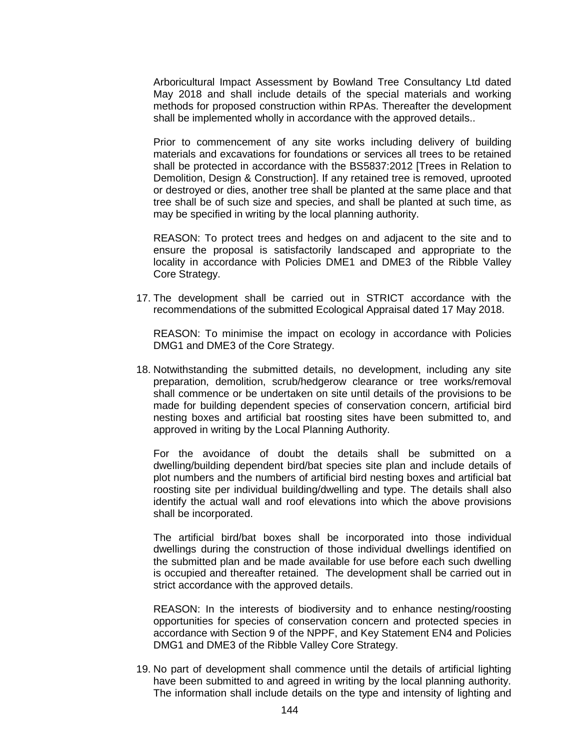Arboricultural Impact Assessment by Bowland Tree Consultancy Ltd dated May 2018 and shall include details of the special materials and working methods for proposed construction within RPAs. Thereafter the development shall be implemented wholly in accordance with the approved details..

Prior to commencement of any site works including delivery of building materials and excavations for foundations or services all trees to be retained shall be protected in accordance with the BS5837:2012 [Trees in Relation to Demolition, Design & Construction]. If any retained tree is removed, uprooted or destroyed or dies, another tree shall be planted at the same place and that tree shall be of such size and species, and shall be planted at such time, as may be specified in writing by the local planning authority.

REASON: To protect trees and hedges on and adjacent to the site and to ensure the proposal is satisfactorily landscaped and appropriate to the locality in accordance with Policies DME1 and DME3 of the Ribble Valley Core Strategy.

17. The development shall be carried out in STRICT accordance with the recommendations of the submitted Ecological Appraisal dated 17 May 2018.

REASON: To minimise the impact on ecology in accordance with Policies DMG1 and DME3 of the Core Strategy.

18. Notwithstanding the submitted details, no development, including any site preparation, demolition, scrub/hedgerow clearance or tree works/removal shall commence or be undertaken on site until details of the provisions to be made for building dependent species of conservation concern, artificial bird nesting boxes and artificial bat roosting sites have been submitted to, and approved in writing by the Local Planning Authority.

For the avoidance of doubt the details shall be submitted on a dwelling/building dependent bird/bat species site plan and include details of plot numbers and the numbers of artificial bird nesting boxes and artificial bat roosting site per individual building/dwelling and type. The details shall also identify the actual wall and roof elevations into which the above provisions shall be incorporated.

The artificial bird/bat boxes shall be incorporated into those individual dwellings during the construction of those individual dwellings identified on the submitted plan and be made available for use before each such dwelling is occupied and thereafter retained. The development shall be carried out in strict accordance with the approved details.

REASON: In the interests of biodiversity and to enhance nesting/roosting opportunities for species of conservation concern and protected species in accordance with Section 9 of the NPPF, and Key Statement EN4 and Policies DMG1 and DME3 of the Ribble Valley Core Strategy.

19. No part of development shall commence until the details of artificial lighting have been submitted to and agreed in writing by the local planning authority. The information shall include details on the type and intensity of lighting and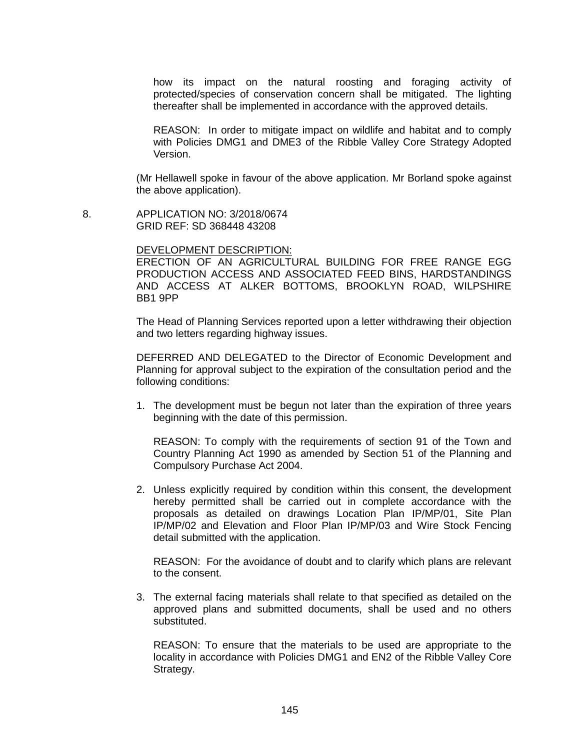how its impact on the natural roosting and foraging activity of protected/species of conservation concern shall be mitigated. The lighting thereafter shall be implemented in accordance with the approved details.

REASON: In order to mitigate impact on wildlife and habitat and to comply with Policies DMG1 and DME3 of the Ribble Valley Core Strategy Adopted Version.

(Mr Hellawell spoke in favour of the above application. Mr Borland spoke against the above application).

 8. APPLICATION NO: 3/2018/0674 GRID REF: SD 368448 43208

#### DEVELOPMENT DESCRIPTION:

ERECTION OF AN AGRICULTURAL BUILDING FOR FREE RANGE EGG PRODUCTION ACCESS AND ASSOCIATED FEED BINS, HARDSTANDINGS AND ACCESS AT ALKER BOTTOMS, BROOKLYN ROAD, WILPSHIRE BB1 9PP

The Head of Planning Services reported upon a letter withdrawing their objection and two letters regarding highway issues.

DEFERRED AND DELEGATED to the Director of Economic Development and Planning for approval subject to the expiration of the consultation period and the following conditions:

1. The development must be begun not later than the expiration of three years beginning with the date of this permission.

REASON: To comply with the requirements of section 91 of the Town and Country Planning Act 1990 as amended by Section 51 of the Planning and Compulsory Purchase Act 2004.

2. Unless explicitly required by condition within this consent, the development hereby permitted shall be carried out in complete accordance with the proposals as detailed on drawings Location Plan IP/MP/01, Site Plan IP/MP/02 and Elevation and Floor Plan IP/MP/03 and Wire Stock Fencing detail submitted with the application.

REASON: For the avoidance of doubt and to clarify which plans are relevant to the consent.

3. The external facing materials shall relate to that specified as detailed on the approved plans and submitted documents, shall be used and no others substituted.

REASON: To ensure that the materials to be used are appropriate to the locality in accordance with Policies DMG1 and EN2 of the Ribble Valley Core Strategy.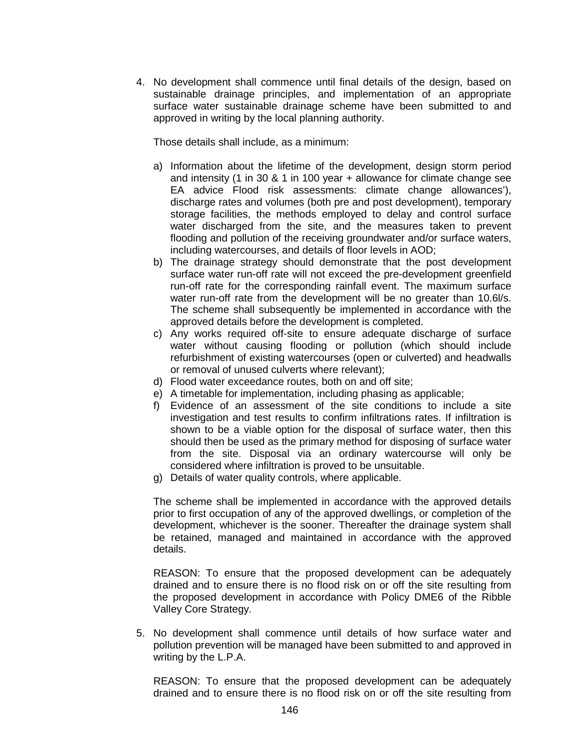4. No development shall commence until final details of the design, based on sustainable drainage principles, and implementation of an appropriate surface water sustainable drainage scheme have been submitted to and approved in writing by the local planning authority.

Those details shall include, as a minimum:

- a) Information about the lifetime of the development, design storm period and intensity (1 in 30 & 1 in 100 year + allowance for climate change see EA advice Flood risk assessments: climate change allowances'), discharge rates and volumes (both pre and post development), temporary storage facilities, the methods employed to delay and control surface water discharged from the site, and the measures taken to prevent flooding and pollution of the receiving groundwater and/or surface waters, including watercourses, and details of floor levels in AOD;
- b) The drainage strategy should demonstrate that the post development surface water run-off rate will not exceed the pre-development greenfield run-off rate for the corresponding rainfall event. The maximum surface water run-off rate from the development will be no greater than 10.6l/s. The scheme shall subsequently be implemented in accordance with the approved details before the development is completed.
- c) Any works required off-site to ensure adequate discharge of surface water without causing flooding or pollution (which should include refurbishment of existing watercourses (open or culverted) and headwalls or removal of unused culverts where relevant);
- d) Flood water exceedance routes, both on and off site;
- e) A timetable for implementation, including phasing as applicable;
- f) Evidence of an assessment of the site conditions to include a site investigation and test results to confirm infiltrations rates. If infiltration is shown to be a viable option for the disposal of surface water, then this should then be used as the primary method for disposing of surface water from the site. Disposal via an ordinary watercourse will only be considered where infiltration is proved to be unsuitable.
- g) Details of water quality controls, where applicable.

The scheme shall be implemented in accordance with the approved details prior to first occupation of any of the approved dwellings, or completion of the development, whichever is the sooner. Thereafter the drainage system shall be retained, managed and maintained in accordance with the approved details.

REASON: To ensure that the proposed development can be adequately drained and to ensure there is no flood risk on or off the site resulting from the proposed development in accordance with Policy DME6 of the Ribble Valley Core Strategy.

5. No development shall commence until details of how surface water and pollution prevention will be managed have been submitted to and approved in writing by the L.P.A.

REASON: To ensure that the proposed development can be adequately drained and to ensure there is no flood risk on or off the site resulting from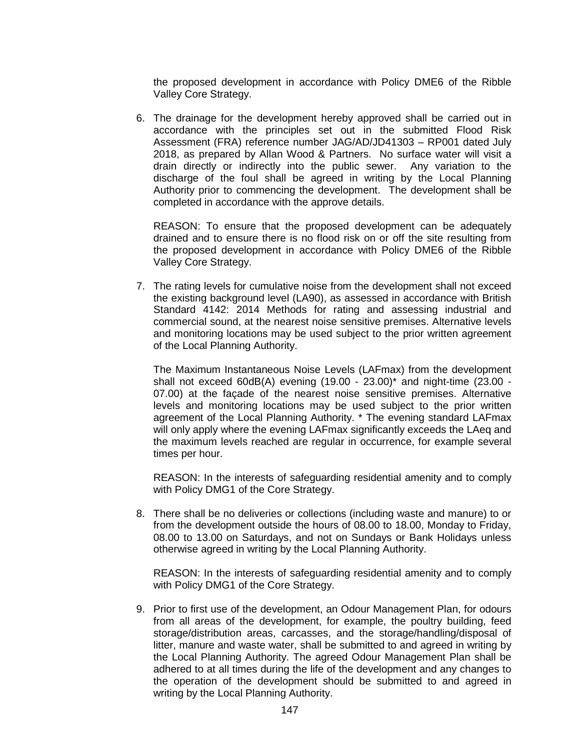the proposed development in accordance with Policy DME6 of the Ribble Valley Core Strategy.

6. The drainage for the development hereby approved shall be carried out in accordance with the principles set out in the submitted Flood Risk Assessment (FRA) reference number JAG/AD/JD41303 – RP001 dated July 2018, as prepared by Allan Wood & Partners. No surface water will visit a drain directly or indirectly into the public sewer. Any variation to the discharge of the foul shall be agreed in writing by the Local Planning Authority prior to commencing the development. The development shall be completed in accordance with the approve details.

REASON: To ensure that the proposed development can be adequately drained and to ensure there is no flood risk on or off the site resulting from the proposed development in accordance with Policy DME6 of the Ribble Valley Core Strategy.

7. The rating levels for cumulative noise from the development shall not exceed the existing background level (LA90), as assessed in accordance with British Standard 4142: 2014 Methods for rating and assessing industrial and commercial sound, at the nearest noise sensitive premises. Alternative levels and monitoring locations may be used subject to the prior written agreement of the Local Planning Authority.

The Maximum Instantaneous Noise Levels (LAFmax) from the development shall not exceed  $60dB(A)$  evening  $(19.00 - 23.00)^*$  and night-time  $(23.00 -$ 07.00) at the façade of the nearest noise sensitive premises. Alternative levels and monitoring locations may be used subject to the prior written agreement of the Local Planning Authority. \* The evening standard LAFmax will only apply where the evening LAFmax significantly exceeds the LAeq and the maximum levels reached are regular in occurrence, for example several times per hour.

REASON: In the interests of safeguarding residential amenity and to comply with Policy DMG1 of the Core Strategy.

8. There shall be no deliveries or collections (including waste and manure) to or from the development outside the hours of 08.00 to 18.00, Monday to Friday, 08.00 to 13.00 on Saturdays, and not on Sundays or Bank Holidays unless otherwise agreed in writing by the Local Planning Authority.

REASON: In the interests of safeguarding residential amenity and to comply with Policy DMG1 of the Core Strategy.

9. Prior to first use of the development, an Odour Management Plan, for odours from all areas of the development, for example, the poultry building, feed storage/distribution areas, carcasses, and the storage/handling/disposal of litter, manure and waste water, shall be submitted to and agreed in writing by the Local Planning Authority. The agreed Odour Management Plan shall be adhered to at all times during the life of the development and any changes to the operation of the development should be submitted to and agreed in writing by the Local Planning Authority.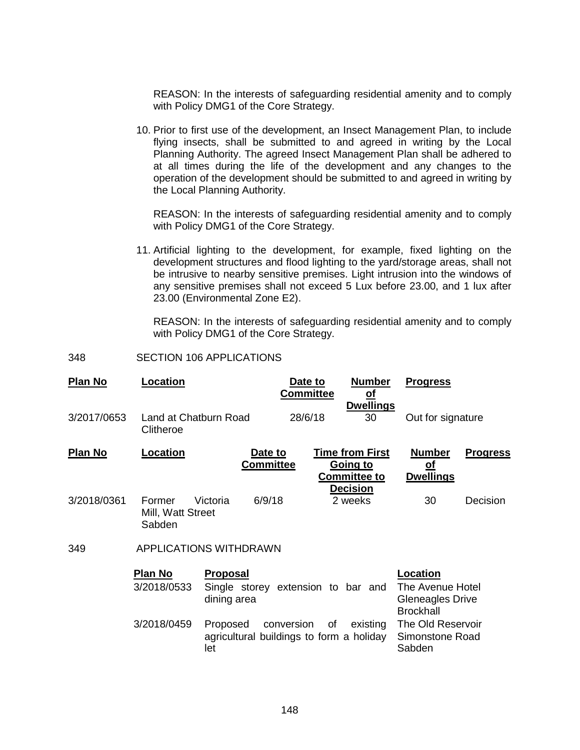REASON: In the interests of safeguarding residential amenity and to comply with Policy DMG1 of the Core Strategy.

10. Prior to first use of the development, an Insect Management Plan, to include flying insects, shall be submitted to and agreed in writing by the Local Planning Authority. The agreed Insect Management Plan shall be adhered to at all times during the life of the development and any changes to the operation of the development should be submitted to and agreed in writing by the Local Planning Authority.

REASON: In the interests of safeguarding residential amenity and to comply with Policy DMG1 of the Core Strategy.

11. Artificial lighting to the development, for example, fixed lighting on the development structures and flood lighting to the yard/storage areas, shall not be intrusive to nearby sensitive premises. Light intrusion into the windows of any sensitive premises shall not exceed 5 Lux before 23.00, and 1 lux after 23.00 (Environmental Zone E2).

REASON: In the interests of safeguarding residential amenity and to comply with Policy DMG1 of the Core Strategy.

348 SECTION 106 APPLICATIONS

| <b>Plan No</b> | Location                              |                                                                      | Date to<br><b>Committee</b> | <b>Number</b><br><u>of</u><br><b>Dwellings</b>                               | <b>Progress</b>                                                                                                               |                 |  |
|----------------|---------------------------------------|----------------------------------------------------------------------|-----------------------------|------------------------------------------------------------------------------|-------------------------------------------------------------------------------------------------------------------------------|-----------------|--|
| 3/2017/0653    | Land at Chatburn Road<br>Clitheroe    |                                                                      | 28/6/18                     | 30                                                                           | Out for signature                                                                                                             |                 |  |
| <b>Plan No</b> | Location                              | Date to<br><b>Committee</b>                                          |                             | <b>Time from First</b><br>Going to<br><b>Committee to</b><br><b>Decision</b> | <b>Number</b><br><u>of</u><br><b>Dwellings</b>                                                                                | <b>Progress</b> |  |
| 3/2018/0361    | Former<br>Mill, Watt Street<br>Sabden | 6/9/18<br>Victoria                                                   |                             | 2 weeks                                                                      | 30                                                                                                                            | Decision        |  |
| 349            |                                       | APPLICATIONS WITHDRAWN                                               |                             |                                                                              |                                                                                                                               |                 |  |
|                | <b>Plan No</b><br>3/2018/0533         | <b>Proposal</b><br>Single storey extension to bar and<br>dining area |                             |                                                                              | Location<br>The Avenue Hotel<br><b>Gleneagles Drive</b><br><b>Brockhall</b><br>The Old Reservoir<br>Simonstone Road<br>Sabden |                 |  |
|                | 3/2018/0459                           | Proposed<br>agricultural buildings to form a holiday<br>let          | conversion<br>of            | existing                                                                     |                                                                                                                               |                 |  |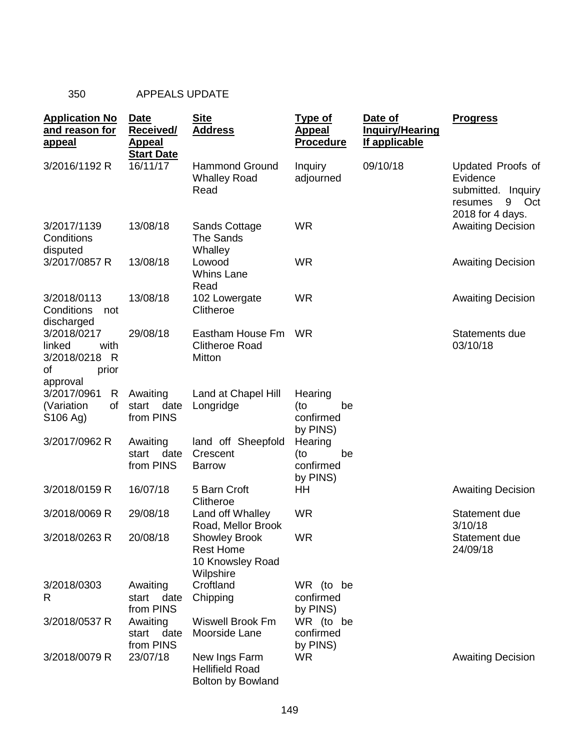# 350 APPEALS UPDATE

| <b>Application No</b><br>and reason for<br>appeal                         | <b>Date</b><br><b>Received/</b><br><u>Appeal</u> | <b>Site</b><br><b>Address</b>                                             | <u>Type of</u><br><b>Appeal</b><br><b>Procedure</b> | Date of<br><b>Inquiry/Hearing</b><br>If applicable | <b>Progress</b>                                                                                          |
|---------------------------------------------------------------------------|--------------------------------------------------|---------------------------------------------------------------------------|-----------------------------------------------------|----------------------------------------------------|----------------------------------------------------------------------------------------------------------|
| 3/2016/1192 R                                                             | <b>Start Date</b><br>16/11/17                    | <b>Hammond Ground</b><br><b>Whalley Road</b><br>Read                      | Inquiry<br>adjourned                                | 09/10/18                                           | Updated Proofs of<br>Evidence<br>submitted.<br><b>Inquiry</b><br>9<br>resumes<br>Oct<br>2018 for 4 days. |
| 3/2017/1139<br>Conditions<br>disputed                                     | 13/08/18                                         | <b>Sands Cottage</b><br>The Sands<br>Whalley                              | <b>WR</b>                                           |                                                    | <b>Awaiting Decision</b>                                                                                 |
| 3/2017/0857 R                                                             | 13/08/18                                         | Lowood<br>Whins Lane<br>Read                                              | <b>WR</b>                                           |                                                    | <b>Awaiting Decision</b>                                                                                 |
| 3/2018/0113<br>Conditions<br>not<br>discharged                            | 13/08/18                                         | 102 Lowergate<br>Clitheroe                                                | <b>WR</b>                                           |                                                    | <b>Awaiting Decision</b>                                                                                 |
| 3/2018/0217<br>linked<br>with<br>3/2018/0218 R<br>of<br>prior<br>approval | 29/08/18                                         | Eastham House Fm<br><b>Clitheroe Road</b><br>Mitton                       | <b>WR</b>                                           |                                                    | Statements due<br>03/10/18                                                                               |
| 3/2017/0961<br>R<br>(Variation<br>of<br>S <sub>106</sub> Ag)              | Awaiting<br>start<br>date<br>from PINS           | Land at Chapel Hill<br>Longridge                                          | Hearing<br>be<br>(to<br>confirmed<br>by PINS)       |                                                    |                                                                                                          |
| 3/2017/0962 R                                                             | Awaiting<br>date<br>start<br>from PINS           | land off Sheepfold<br>Crescent<br><b>Barrow</b>                           | Hearing<br>(to<br>be<br>confirmed<br>by PINS)       |                                                    |                                                                                                          |
| 3/2018/0159 R                                                             | 16/07/18                                         | 5 Barn Croft<br>Clitheroe                                                 | HН                                                  |                                                    | <b>Awaiting Decision</b>                                                                                 |
| 3/2018/0069 R                                                             | 29/08/18                                         | Land off Whalley<br>Road, Mellor Brook                                    | <b>WR</b>                                           |                                                    | Statement due<br>3/10/18                                                                                 |
| 3/2018/0263 R                                                             | 20/08/18                                         | <b>Showley Brook</b><br><b>Rest Home</b><br>10 Knowsley Road<br>Wilpshire | <b>WR</b>                                           |                                                    | Statement due<br>24/09/18                                                                                |
| 3/2018/0303<br>R                                                          | Awaiting<br>start<br>date<br>from PINS           | Croftland<br>Chipping                                                     | WR (to be<br>confirmed<br>by PINS)                  |                                                    |                                                                                                          |
| 3/2018/0537 R                                                             | Awaiting<br>start<br>date<br>from PINS           | <b>Wiswell Brook Fm</b><br>Moorside Lane                                  | WR (to be<br>confirmed<br>by PINS)                  |                                                    |                                                                                                          |
| 3/2018/0079 R                                                             | 23/07/18                                         | New Ings Farm<br><b>Hellifield Road</b><br>Bolton by Bowland              | WR.                                                 |                                                    | <b>Awaiting Decision</b>                                                                                 |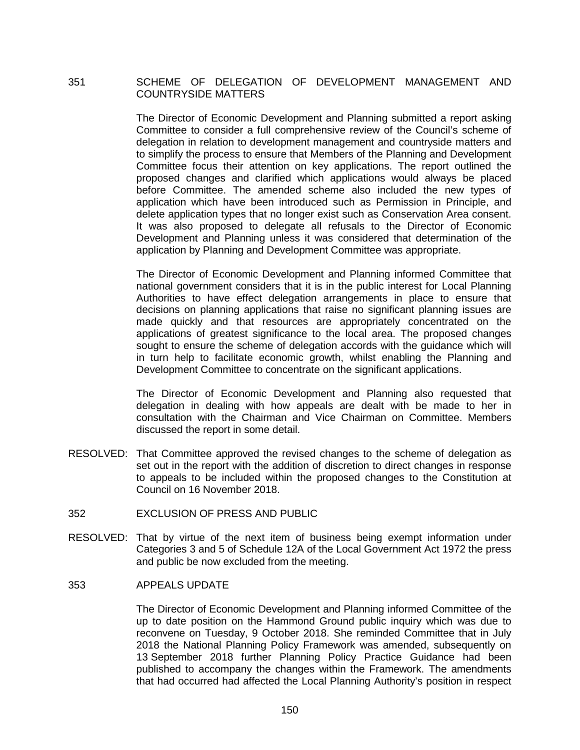# 351 SCHEME OF DELEGATION OF DEVELOPMENT MANAGEMENT AND COUNTRYSIDE MATTERS

The Director of Economic Development and Planning submitted a report asking Committee to consider a full comprehensive review of the Council's scheme of delegation in relation to development management and countryside matters and to simplify the process to ensure that Members of the Planning and Development Committee focus their attention on key applications. The report outlined the proposed changes and clarified which applications would always be placed before Committee. The amended scheme also included the new types of application which have been introduced such as Permission in Principle, and delete application types that no longer exist such as Conservation Area consent. It was also proposed to delegate all refusals to the Director of Economic Development and Planning unless it was considered that determination of the application by Planning and Development Committee was appropriate.

The Director of Economic Development and Planning informed Committee that national government considers that it is in the public interest for Local Planning Authorities to have effect delegation arrangements in place to ensure that decisions on planning applications that raise no significant planning issues are made quickly and that resources are appropriately concentrated on the applications of greatest significance to the local area. The proposed changes sought to ensure the scheme of delegation accords with the guidance which will in turn help to facilitate economic growth, whilst enabling the Planning and Development Committee to concentrate on the significant applications.

The Director of Economic Development and Planning also requested that delegation in dealing with how appeals are dealt with be made to her in consultation with the Chairman and Vice Chairman on Committee. Members discussed the report in some detail.

- RESOLVED: That Committee approved the revised changes to the scheme of delegation as set out in the report with the addition of discretion to direct changes in response to appeals to be included within the proposed changes to the Constitution at Council on 16 November 2018.
- 352 EXCLUSION OF PRESS AND PUBLIC
- RESOLVED: That by virtue of the next item of business being exempt information under Categories 3 and 5 of Schedule 12A of the Local Government Act 1972 the press and public be now excluded from the meeting.
- 353 APPEALS UPDATE

The Director of Economic Development and Planning informed Committee of the up to date position on the Hammond Ground public inquiry which was due to reconvene on Tuesday, 9 October 2018. She reminded Committee that in July 2018 the National Planning Policy Framework was amended, subsequently on 13 September 2018 further Planning Policy Practice Guidance had been published to accompany the changes within the Framework. The amendments that had occurred had affected the Local Planning Authority's position in respect